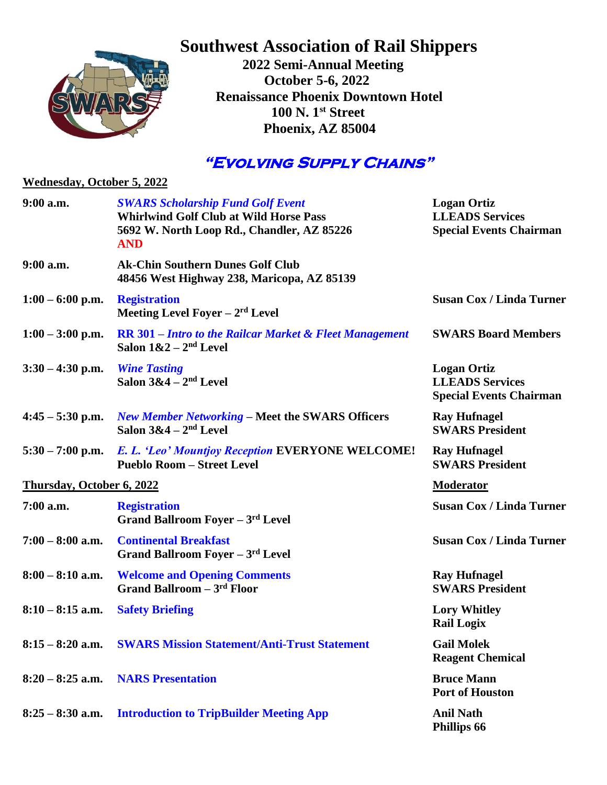

## **Southwest Association of Rail Shippers**

 **2022 Semi-Annual Meeting October 5-6, 2022 Renaissance Phoenix Downtown Hotel 100 N. 1st Street Phoenix, AZ 85004**

## **"Evolving Supply Chains"**

| <b>Wednesday, October 5, 2022</b> |                                                                                                                                                       |                                                                                |  |  |
|-----------------------------------|-------------------------------------------------------------------------------------------------------------------------------------------------------|--------------------------------------------------------------------------------|--|--|
| $9:00$ a.m.                       | <b>SWARS Scholarship Fund Golf Event</b><br><b>Whirlwind Golf Club at Wild Horse Pass</b><br>5692 W. North Loop Rd., Chandler, AZ 85226<br><b>AND</b> | <b>Logan Ortiz</b><br><b>LLEADS Services</b><br><b>Special Events Chairman</b> |  |  |
| $9:00$ a.m.                       | <b>Ak-Chin Southern Dunes Golf Club</b><br>48456 West Highway 238, Maricopa, AZ 85139                                                                 |                                                                                |  |  |
| $1:00 - 6:00$ p.m.                | <b>Registration</b><br>Meeting Level Foyer $-2rd$ Level                                                                                               | <b>Susan Cox / Linda Turner</b>                                                |  |  |
| $1:00 - 3:00$ p.m.                | <b>RR 301 – Intro to the Railcar Market &amp; Fleet Management</b><br>Salon $1&2-2nd$ Level                                                           | <b>SWARS Board Members</b>                                                     |  |  |
| $3:30 - 4:30$ p.m.                | <b>Wine Tasting</b><br>Salon $3&4-2^{nd}$ Level                                                                                                       | <b>Logan Ortiz</b><br><b>LLEADS Services</b><br><b>Special Events Chairman</b> |  |  |
| $4:45 - 5:30$ p.m.                | <b>New Member Networking – Meet the SWARS Officers</b><br>Salon $3&4-2^{nd}$ Level                                                                    | <b>Ray Hufnagel</b><br><b>SWARS President</b>                                  |  |  |
|                                   | 5:30 – 7:00 p.m. E. L. 'Leo' Mountjoy Reception EVERYONE WELCOME!<br><b>Pueblo Room - Street Level</b>                                                | <b>Ray Hufnagel</b><br><b>SWARS President</b>                                  |  |  |
| Thursday, October 6, 2022         |                                                                                                                                                       | <b>Moderator</b>                                                               |  |  |
| 7:00 a.m.                         | <b>Registration</b><br><b>Grand Ballroom Foyer - 3rd Level</b>                                                                                        | <b>Susan Cox / Linda Turner</b>                                                |  |  |
| $7:00 - 8:00$ a.m.                | <b>Continental Breakfast</b><br>Grand Ballroom Foyer - 3rd Level                                                                                      | <b>Susan Cox / Linda Turner</b>                                                |  |  |
| $8:00 - 8:10$ a.m.                | <b>Welcome and Opening Comments</b><br><b>Grand Ballroom - 3rd Floor</b>                                                                              | <b>Ray Hufnagel</b><br><b>SWARS President</b>                                  |  |  |
| $8:10 - 8:15$ a.m.                | <b>Safety Briefing</b>                                                                                                                                | <b>Lory Whitley</b><br><b>Rail Logix</b>                                       |  |  |
| $8:15 - 8:20$ a.m.                | <b>SWARS Mission Statement/Anti-Trust Statement</b>                                                                                                   | <b>Gail Molek</b><br><b>Reagent Chemical</b>                                   |  |  |
| $8:20 - 8:25$ a.m.                | <b>NARS Presentation</b>                                                                                                                              | <b>Bruce Mann</b><br><b>Port of Houston</b>                                    |  |  |
| $8:25 - 8:30$ a.m.                | <b>Introduction to TripBuilder Meeting App</b>                                                                                                        | <b>Anil Nath</b><br>Phillips 66                                                |  |  |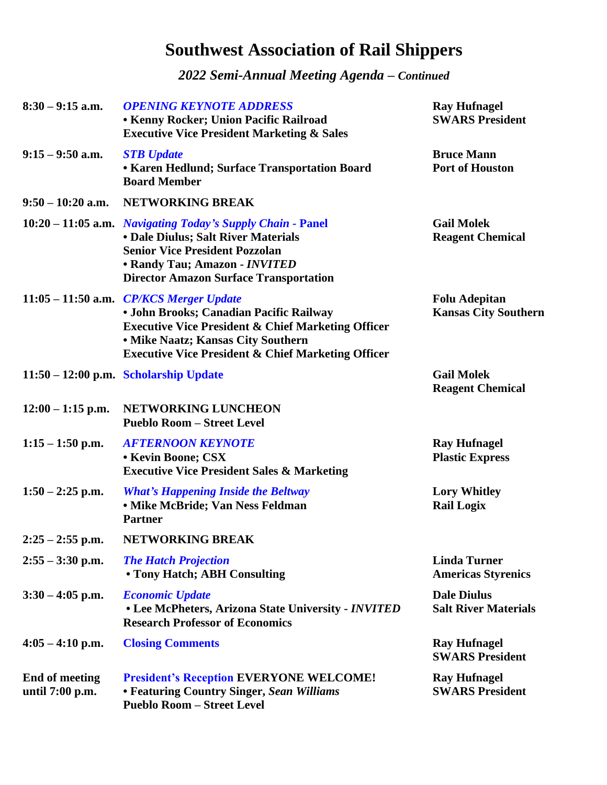## **Southwest Association of Rail Shippers**

*2022 Semi-Annual Meeting Agenda – Continued*

| $8:30 - 9:15$ a.m.                       | <b>OPENING KEYNOTE ADDRESS</b><br><b>• Kenny Rocker; Union Pacific Railroad</b><br><b>Executive Vice President Marketing &amp; Sales</b>                                                                                                                   | <b>Ray Hufnagel</b><br><b>SWARS President</b>       |
|------------------------------------------|------------------------------------------------------------------------------------------------------------------------------------------------------------------------------------------------------------------------------------------------------------|-----------------------------------------------------|
| $9:15 - 9:50$ a.m.                       | <b>STB</b> Update<br>• Karen Hedlund; Surface Transportation Board<br><b>Board Member</b>                                                                                                                                                                  | <b>Bruce Mann</b><br><b>Port of Houston</b>         |
| $9:50 - 10:20$ a.m.                      | NETWORKING BREAK                                                                                                                                                                                                                                           |                                                     |
|                                          | 10:20 – 11:05 a.m. Navigating Today's Supply Chain - Panel<br>• Dale Diulus; Salt River Materials<br><b>Senior Vice President Pozzolan</b><br>• Randy Tau; Amazon - INVITED<br><b>Director Amazon Surface Transportation</b>                               | <b>Gail Molek</b><br><b>Reagent Chemical</b>        |
|                                          | 11:05 - 11:50 a.m. CP/KCS Merger Update<br>• John Brooks; Canadian Pacific Railway<br><b>Executive Vice President &amp; Chief Marketing Officer</b><br>• Mike Naatz; Kansas City Southern<br><b>Executive Vice President &amp; Chief Marketing Officer</b> | <b>Folu Adepitan</b><br><b>Kansas City Southern</b> |
|                                          | $11:50 - 12:00$ p.m. Scholarship Update                                                                                                                                                                                                                    | <b>Gail Molek</b><br><b>Reagent Chemical</b>        |
| $12:00 - 1:15$ p.m.                      | NETWORKING LUNCHEON<br><b>Pueblo Room - Street Level</b>                                                                                                                                                                                                   |                                                     |
| $1:15 - 1:50$ p.m.                       | <b>AFTERNOON KEYNOTE</b><br><b>• Kevin Boone; CSX</b><br><b>Executive Vice President Sales &amp; Marketing</b>                                                                                                                                             | <b>Ray Hufnagel</b><br><b>Plastic Express</b>       |
| $1:50 - 2:25$ p.m.                       | <b>What's Happening Inside the Beltway</b><br>• Mike McBride; Van Ness Feldman<br><b>Partner</b>                                                                                                                                                           | <b>Lory Whitley</b><br><b>Rail Logix</b>            |
| $2:25 - 2:55$ p.m.                       | NETWORKING BREAK                                                                                                                                                                                                                                           |                                                     |
| $2:55 - 3:30$ p.m.                       | <b>The Hatch Projection</b><br>• Tony Hatch; ABH Consulting                                                                                                                                                                                                | <b>Linda Turner</b><br><b>Americas Styrenics</b>    |
| $3:30 - 4:05$ p.m.                       | <b>Economic Update</b><br>• Lee McPheters, Arizona State University - INVITED<br><b>Research Professor of Economics</b>                                                                                                                                    | <b>Dale Diulus</b><br><b>Salt River Materials</b>   |
| $4:05 - 4:10$ p.m.                       | <b>Closing Comments</b>                                                                                                                                                                                                                                    | <b>Ray Hufnagel</b><br><b>SWARS President</b>       |
| <b>End of meeting</b><br>until 7:00 p.m. | <b>President's Reception EVERYONE WELCOME!</b><br>• Featuring Country Singer, Sean Williams<br><b>Pueblo Room - Street Level</b>                                                                                                                           | <b>Ray Hufnagel</b><br><b>SWARS President</b>       |